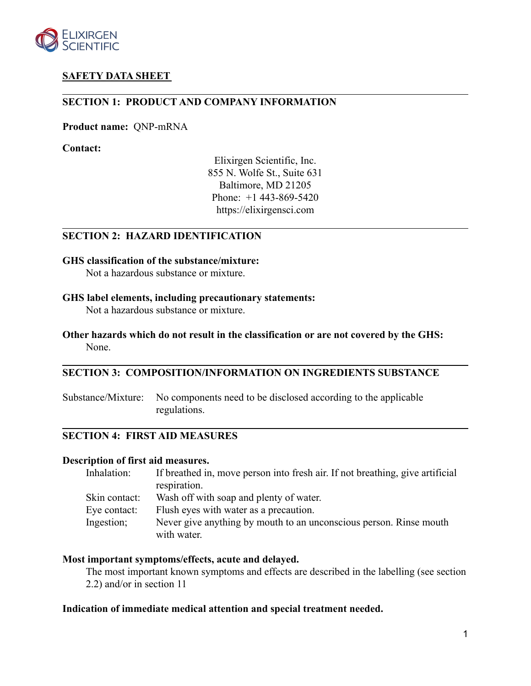

# **SAFETY DATA SHEET**

# **SECTION 1: PRODUCT AND COMPANY INFORMATION**

**Product name:** QNP-mRNA

**Contact:**

Elixirgen Scientific, Inc. 855 N. Wolfe St., Suite 631 Baltimore, MD 21205 Phone: +1 443-869-5420 https://elixirgensci.com

# **SECTION 2: HAZARD IDENTIFICATION**

#### **GHS classification of the substance/mixture:**

Not a hazardous substance or mixture.

#### **GHS label elements, including precautionary statements:**

Not a hazardous substance or mixture.

# **Other hazards which do not result in the classification or are not covered by the GHS:** None.

# **SECTION 3: COMPOSITION/INFORMATION ON INGREDIENTS SUBSTANCE**

Substance/Mixture: No components need to be disclosed according to the applicable regulations.

# **SECTION 4: FIRST AID MEASURES**

#### **Description of first aid measures.**

| If breathed in, move person into fresh air. If not breathing, give artificial     |
|-----------------------------------------------------------------------------------|
| respiration.                                                                      |
| Wash off with soap and plenty of water.                                           |
| Flush eyes with water as a precaution.                                            |
| Never give anything by mouth to an unconscious person. Rinse mouth<br>with water. |
|                                                                                   |

### **Most important symptoms/effects, acute and delayed.**

The most important known symptoms and effects are described in the labelling (see section 2.2) and/or in section 11

# **Indication of immediate medical attention and special treatment needed.**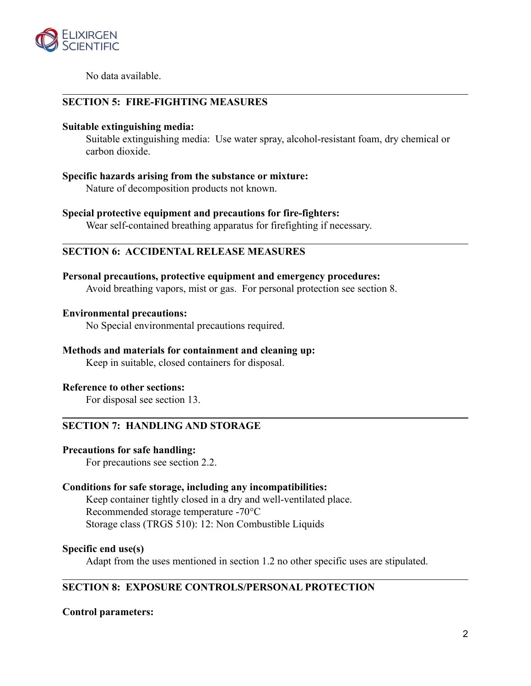

No data available.

# **SECTION 5: FIRE-FIGHTING MEASURES**

### **Suitable extinguishing media:**

Suitable extinguishing media: Use water spray, alcohol-resistant foam, dry chemical or carbon dioxide.

# **Specific hazards arising from the substance or mixture:**

Nature of decomposition products not known.

# **Special protective equipment and precautions for fire-fighters:**

Wear self-contained breathing apparatus for firefighting if necessary.

# **SECTION 6: ACCIDENTAL RELEASE MEASURES**

### **Personal precautions, protective equipment and emergency procedures:**

Avoid breathing vapors, mist or gas. For personal protection see section 8.

### **Environmental precautions:**

No Special environmental precautions required.

# **Methods and materials for containment and cleaning up:**

Keep in suitable, closed containers for disposal.

# **Reference to other sections:**

For disposal see section 13.

# **SECTION 7: HANDLING AND STORAGE**

# **Precautions for safe handling:**

For precautions see section 2.2.

# **Conditions for safe storage, including any incompatibilities:**

Keep container tightly closed in a dry and well-ventilated place. Recommended storage temperature -70°C Storage class (TRGS 510): 12: Non Combustible Liquids

# **Specific end use(s)**

Adapt from the uses mentioned in section 1.2 no other specific uses are stipulated.

# **SECTION 8: EXPOSURE CONTROLS/PERSONAL PROTECTION**

# **Control parameters:**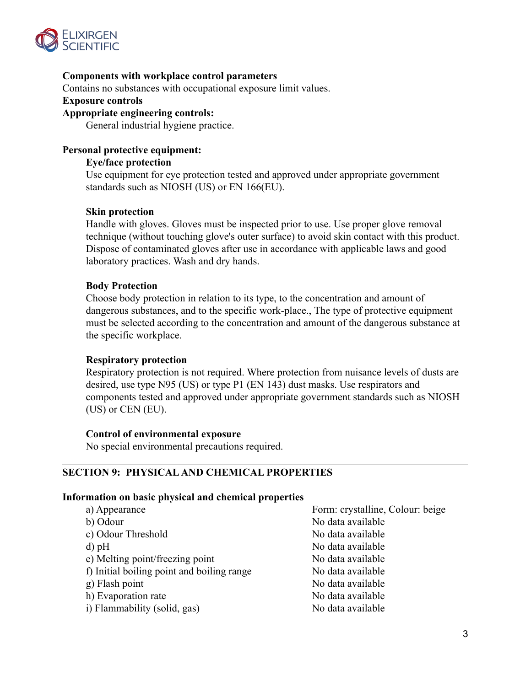

# **Components with workplace control parameters**

Contains no substances with occupational exposure limit values.

### **Exposure controls**

## **Appropriate engineering controls:**

General industrial hygiene practice.

# **Personal protective equipment:**

### **Eye/face protection**

Use equipment for eye protection tested and approved under appropriate government standards such as NIOSH (US) or EN 166(EU).

### **Skin protection**

Handle with gloves. Gloves must be inspected prior to use. Use proper glove removal technique (without touching glove's outer surface) to avoid skin contact with this product. Dispose of contaminated gloves after use in accordance with applicable laws and good laboratory practices. Wash and dry hands.

### **Body Protection**

Choose body protection in relation to its type, to the concentration and amount of dangerous substances, and to the specific work-place., The type of protective equipment must be selected according to the concentration and amount of the dangerous substance at the specific workplace.

#### **Respiratory protection**

Respiratory protection is not required. Where protection from nuisance levels of dusts are desired, use type N95 (US) or type P1 (EN 143) dust masks. Use respirators and components tested and approved under appropriate government standards such as NIOSH (US) or CEN (EU).

#### **Control of environmental exposure**

No special environmental precautions required.

# **SECTION 9: PHYSICAL AND CHEMICAL PROPERTIES**

#### **Information on basic physical and chemical properties**

| a) Appearance                              | Form: crystalline, Colour: beige |
|--------------------------------------------|----------------------------------|
| b) Odour                                   | No data available                |
| c) Odour Threshold                         | No data available                |
| $d$ ) pH                                   | No data available                |
| e) Melting point/freezing point            | No data available                |
| f) Initial boiling point and boiling range | No data available                |
| g) Flash point                             | No data available                |
| h) Evaporation rate                        | No data available                |
| i) Flammability (solid, gas)               | No data available                |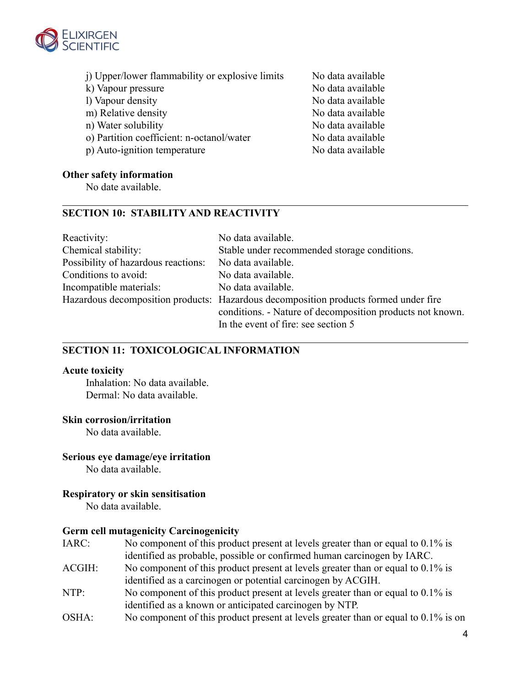

- j) Upper/lower flammability or explosive limits No data available
- 
- 
- 
- 
- o) Partition coefficient: n-octanol/water No data available
- p) Auto-ignition temperature No data available

# **Other safety information**

No date available.

# **SECTION 10: STABILITY AND REACTIVITY**

| Reactivity:                         | No data available.                                                                                                                                                                       |
|-------------------------------------|------------------------------------------------------------------------------------------------------------------------------------------------------------------------------------------|
| Chemical stability:                 | Stable under recommended storage conditions.                                                                                                                                             |
| Possibility of hazardous reactions: | No data available.                                                                                                                                                                       |
| Conditions to avoid:                | No data available.                                                                                                                                                                       |
| Incompatible materials:             | No data available.                                                                                                                                                                       |
|                                     | Hazardous decomposition products: Hazardous decomposition products formed under fire<br>conditions. - Nature of decomposition products not known.<br>In the event of fire: see section 5 |

# **SECTION 11: TOXICOLOGICAL INFORMATION**

# **Acute toxicity**

Inhalation: No data available. Dermal: No data available.

# **Skin corrosion/irritation**

No data available.

# **Serious eye damage/eye irritation**

No data available.

# **Respiratory or skin sensitisation**

No data available.

# **Germ cell mutagenicity Carcinogenicity**

- IARC: No component of this product present at levels greater than or equal to 0.1% is identified as probable, possible or confirmed human carcinogen by IARC.
- ACGIH: No component of this product present at levels greater than or equal to 0.1% is identified as a carcinogen or potential carcinogen by ACGIH.
- NTP: No component of this product present at levels greater than or equal to 0.1% is identified as a known or anticipated carcinogen by NTP.
- OSHA: No component of this product present at levels greater than or equal to 0.1% is on

k) Vapour pressure No data available l) Vapour density No data available m) Relative density No data available n) Water solubility No data available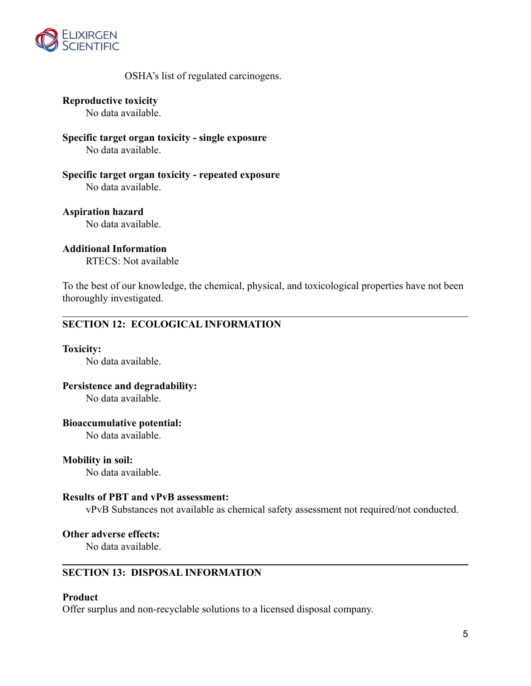

# OSHA's list of regulated carcinogens.

**Reproductive toxicity**

No data available.

**Specific target organ toxicity - single exposure** No data available.

**Specific target organ toxicity - repeated exposure** No data available.

**Aspiration hazard** No data available.

**Additional Information**

RTECS: Not available

To the best of our knowledge, the chemical, physical, and toxicological properties have not been thoroughly investigated.

# **SECTION 12: ECOLOGICAL INFORMATION**

# **Toxicity:**

No data available.

# **Persistence and degradability:**

No data available.

#### **Bioaccumulative potential:**

No data available.

# **Mobility in soil:**

No data available.

# **Results of PBT and vPvB assessment:**

vPvB Substances not available as chemical safety assessment not required/not conducted.

### **Other adverse effects:**

No data available.

# **SECTION 13: DISPOSAL INFORMATION**

#### **Product**

Offer surplus and non-recyclable solutions to a licensed disposal company.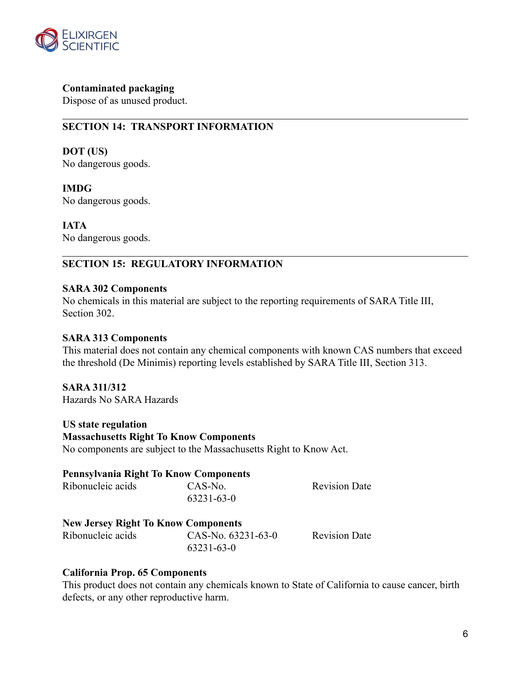

**Contaminated packaging**

Dispose of as unused product.

# **SECTION 14: TRANSPORT INFORMATION**

**DOT (US)** No dangerous goods.

**IMDG** No dangerous goods.

**IATA** No dangerous goods.

# **SECTION 15: REGULATORY INFORMATION**

# **SARA 302 Components**

No chemicals in this material are subject to the reporting requirements of SARA Title III, Section 302.

# **SARA 313 Components**

This material does not contain any chemical components with known CAS numbers that exceed the threshold (De Minimis) reporting levels established by SARA Title III, Section 313.

# **SARA 311/312**

Hazards No SARA Hazards

**US state regulation Massachusetts Right To Know Components** No components are subject to the Massachusetts Right to Know Act.

#### **Pennsylvania Right To Know Components**

| Ribonucleic acids | CAS-No.    | <b>Revision Date</b> |
|-------------------|------------|----------------------|
|                   | 63231-63-0 |                      |

# **New Jersey Right To Know Components**

| Ribonucleic acids | CAS-No. 63231-63-0 | <b>Revision Date</b> |
|-------------------|--------------------|----------------------|
|                   | 63231-63-0         |                      |

# **California Prop. 65 Components**

This product does not contain any chemicals known to State of California to cause cancer, birth defects, or any other reproductive harm.